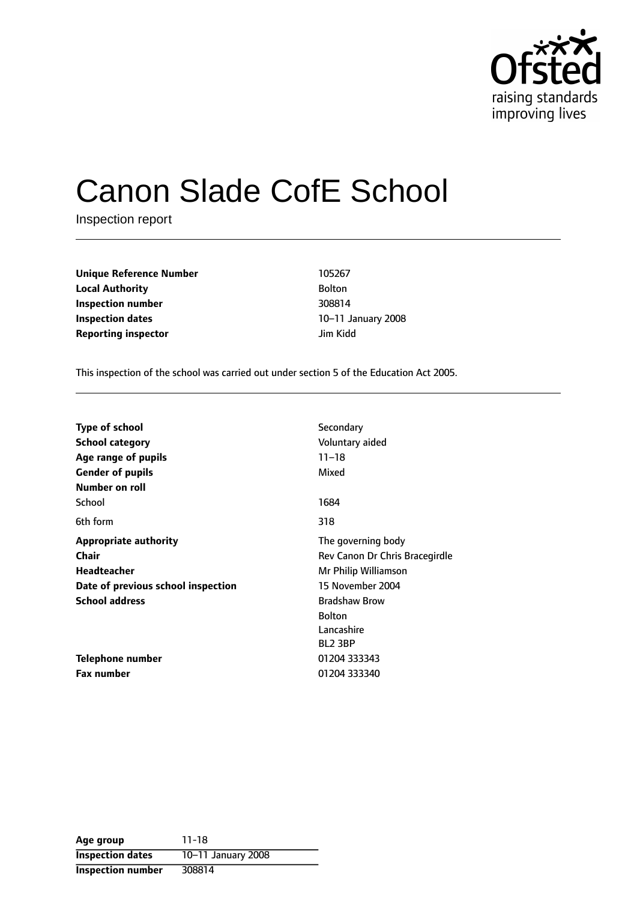

# Canon Slade CofE School

Inspection report

**Unique Reference Number** 105267 **Local Authority** Bolton **Inspection number** 308814 **Inspection dates** 10-11 January 2008 **Reporting inspector discription** *lim Kidd* 

This inspection of the school was carried out under section 5 of the Education Act 2005.

| <b>Type of school</b>              | Secondary                      |  |
|------------------------------------|--------------------------------|--|
|                                    |                                |  |
| <b>School category</b>             | Voluntary aided                |  |
| Age range of pupils                | $11 - 18$                      |  |
| <b>Gender of pupils</b>            | Mixed                          |  |
| Number on roll                     |                                |  |
| School                             | 1684                           |  |
| 6th form                           | 318                            |  |
| <b>Appropriate authority</b>       | The governing body             |  |
| Chair                              | Rev Canon Dr Chris Bracegirdle |  |
| <b>Headteacher</b>                 | Mr Philip Williamson           |  |
| Date of previous school inspection | 15 November 2004               |  |
| <b>School address</b>              | <b>Bradshaw Brow</b>           |  |
|                                    | <b>Bolton</b>                  |  |
|                                    | Lancashire                     |  |
|                                    | BL <sub>2</sub> 3BP            |  |
| <b>Telephone number</b>            | 01204 333343                   |  |
| <b>Fax number</b>                  | 01204 333340                   |  |

| Age group                | $11 - 18$          |
|--------------------------|--------------------|
| <b>Inspection dates</b>  | 10-11 January 2008 |
| <b>Inspection number</b> | 308814             |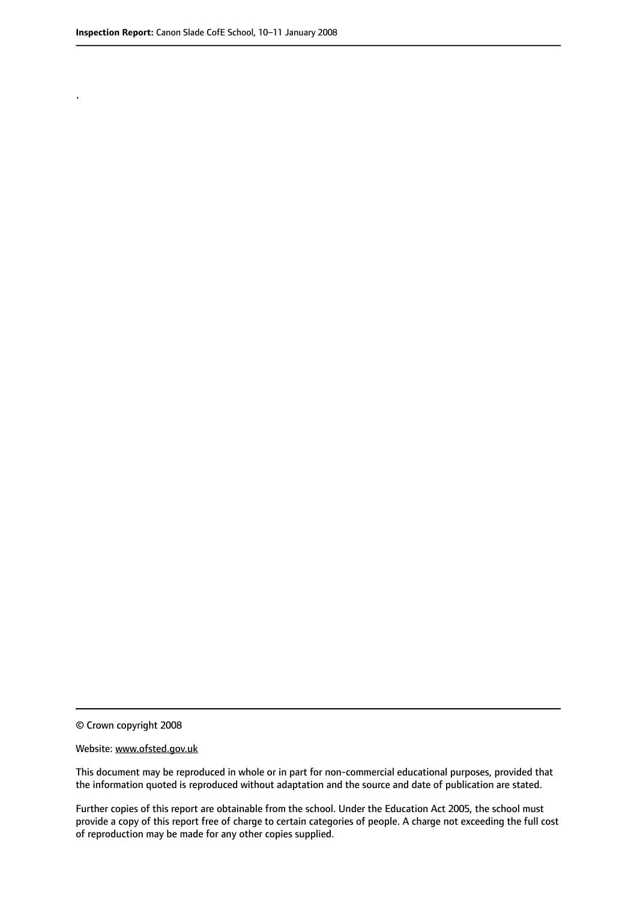.

© Crown copyright 2008

#### Website: www.ofsted.gov.uk

This document may be reproduced in whole or in part for non-commercial educational purposes, provided that the information quoted is reproduced without adaptation and the source and date of publication are stated.

Further copies of this report are obtainable from the school. Under the Education Act 2005, the school must provide a copy of this report free of charge to certain categories of people. A charge not exceeding the full cost of reproduction may be made for any other copies supplied.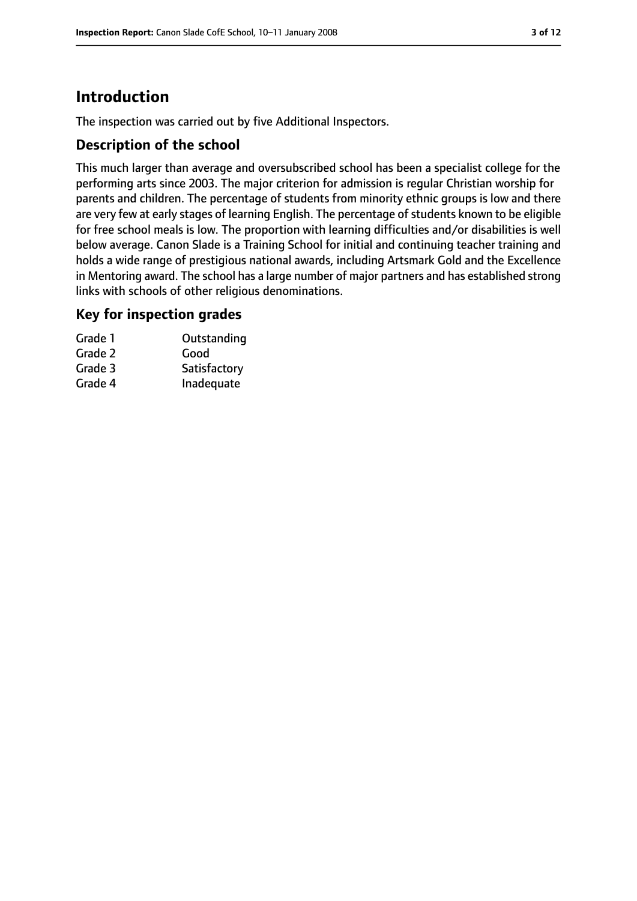# **Introduction**

The inspection was carried out by five Additional Inspectors.

## **Description of the school**

This much larger than average and oversubscribed school has been a specialist college for the performing arts since 2003. The major criterion for admission is regular Christian worship for parents and children. The percentage of students from minority ethnic groups is low and there are very few at early stages of learning English. The percentage of students known to be eligible for free school meals is low. The proportion with learning difficulties and/or disabilities is well below average. Canon Slade is a Training School for initial and continuing teacher training and holds a wide range of prestigious national awards, including Artsmark Gold and the Excellence in Mentoring award. The school has a large number of major partners and has established strong links with schools of other religious denominations.

## **Key for inspection grades**

| Grade 1 | Outstanding  |
|---------|--------------|
| Grade 2 | Good         |
| Grade 3 | Satisfactory |
| Grade 4 | Inadequate   |
|         |              |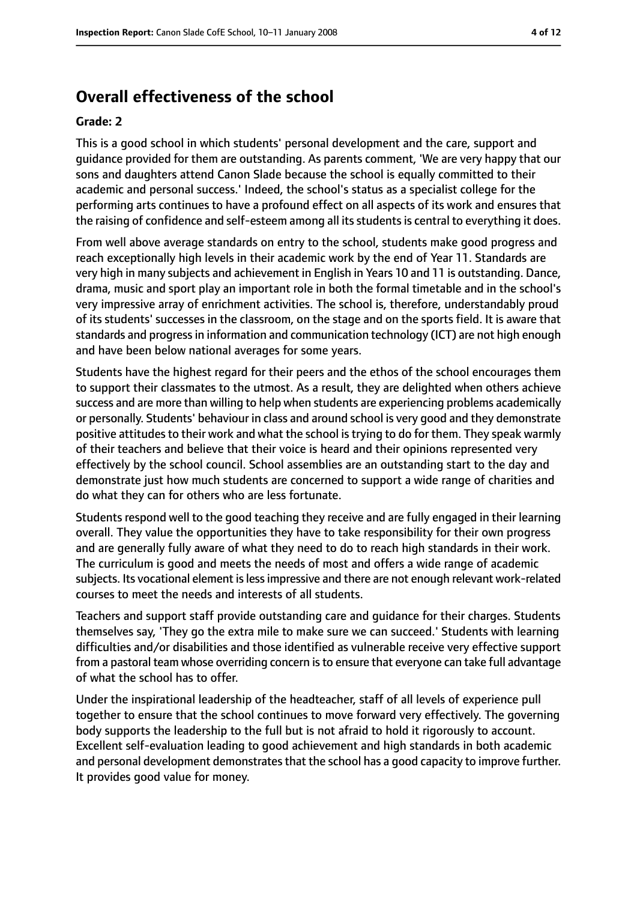# **Overall effectiveness of the school**

#### **Grade: 2**

This is a good school in which students' personal development and the care, support and guidance provided for them are outstanding. As parents comment, 'We are very happy that our sons and daughters attend Canon Slade because the school is equally committed to their academic and personal success.' Indeed, the school's status as a specialist college for the performing arts continues to have a profound effect on all aspects of its work and ensures that the raising of confidence and self-esteem among all its students is central to everything it does.

From well above average standards on entry to the school, students make good progress and reach exceptionally high levels in their academic work by the end of Year 11. Standards are very high in many subjects and achievement in English in Years 10 and 11 is outstanding. Dance, drama, music and sport play an important role in both the formal timetable and in the school's very impressive array of enrichment activities. The school is, therefore, understandably proud of its students' successes in the classroom, on the stage and on the sports field. It is aware that standards and progressin information and communication technology (ICT) are not high enough and have been below national averages for some years.

Students have the highest regard for their peers and the ethos of the school encourages them to support their classmates to the utmost. As a result, they are delighted when others achieve success and are more than willing to help when students are experiencing problems academically or personally. Students' behaviour in class and around school is very good and they demonstrate positive attitudes to their work and what the school is trying to do for them. They speak warmly of their teachers and believe that their voice is heard and their opinions represented very effectively by the school council. School assemblies are an outstanding start to the day and demonstrate just how much students are concerned to support a wide range of charities and do what they can for others who are less fortunate.

Students respond well to the good teaching they receive and are fully engaged in their learning overall. They value the opportunities they have to take responsibility for their own progress and are generally fully aware of what they need to do to reach high standards in their work. The curriculum is good and meets the needs of most and offers a wide range of academic subjects. Its vocational element is less impressive and there are not enough relevant work-related courses to meet the needs and interests of all students.

Teachers and support staff provide outstanding care and guidance for their charges. Students themselves say, 'They go the extra mile to make sure we can succeed.' Students with learning difficulties and/or disabilities and those identified as vulnerable receive very effective support from a pastoral team whose overriding concern isto ensure that everyone can take full advantage of what the school has to offer.

Under the inspirational leadership of the headteacher, staff of all levels of experience pull together to ensure that the school continues to move forward very effectively. The governing body supports the leadership to the full but is not afraid to hold it rigorously to account. Excellent self-evaluation leading to good achievement and high standards in both academic and personal development demonstrates that the school has a good capacity to improve further. It provides good value for money.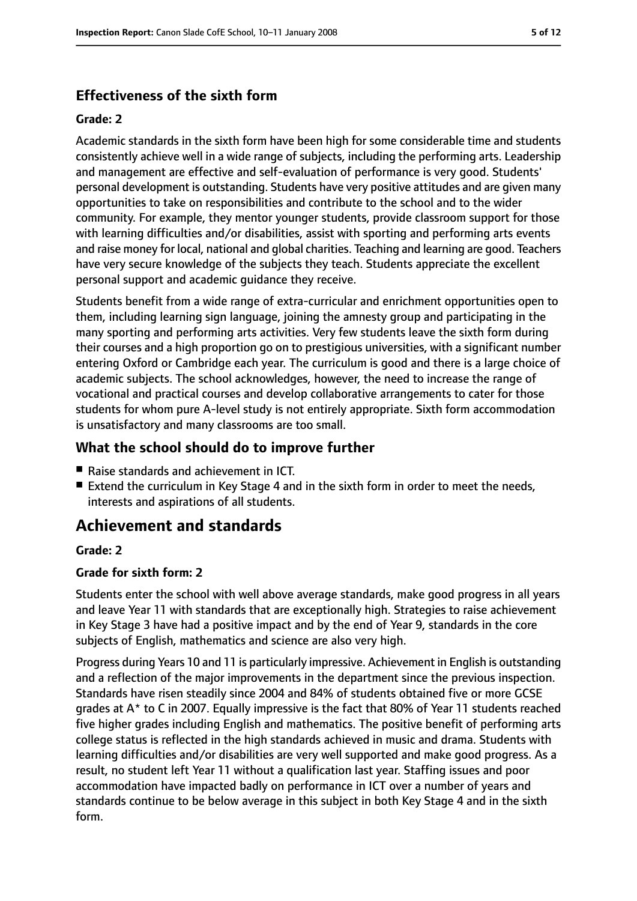# **Effectiveness of the sixth form**

#### **Grade: 2**

Academic standards in the sixth form have been high for some considerable time and students consistently achieve well in a wide range of subjects, including the performing arts. Leadership and management are effective and self-evaluation of performance is very good. Students' personal development is outstanding. Students have very positive attitudes and are given many opportunities to take on responsibilities and contribute to the school and to the wider community. For example, they mentor younger students, provide classroom support for those with learning difficulties and/or disabilities, assist with sporting and performing arts events and raise money for local, national and global charities. Teaching and learning are good. Teachers have very secure knowledge of the subjects they teach. Students appreciate the excellent personal support and academic guidance they receive.

Students benefit from a wide range of extra-curricular and enrichment opportunities open to them, including learning sign language, joining the amnesty group and participating in the many sporting and performing arts activities. Very few students leave the sixth form during their courses and a high proportion go on to prestigious universities, with a significant number entering Oxford or Cambridge each year. The curriculum is good and there is a large choice of academic subjects. The school acknowledges, however, the need to increase the range of vocational and practical courses and develop collaborative arrangements to cater for those students for whom pure A-level study is not entirely appropriate. Sixth form accommodation is unsatisfactory and many classrooms are too small.

## **What the school should do to improve further**

- Raise standards and achievement in ICT.
- Extend the curriculum in Key Stage 4 and in the sixth form in order to meet the needs, interests and aspirations of all students.

# **Achievement and standards**

#### **Grade: 2**

#### **Grade for sixth form: 2**

Students enter the school with well above average standards, make good progress in all years and leave Year 11 with standards that are exceptionally high. Strategies to raise achievement in Key Stage 3 have had a positive impact and by the end of Year 9, standards in the core subjects of English, mathematics and science are also very high.

Progress during Years 10 and 11 is particularly impressive. Achievement in English is outstanding and a reflection of the major improvements in the department since the previous inspection. Standards have risen steadily since 2004 and 84% of students obtained five or more GCSE grades at A\* to C in 2007. Equally impressive is the fact that 80% of Year 11 students reached five higher grades including English and mathematics. The positive benefit of performing arts college status is reflected in the high standards achieved in music and drama. Students with learning difficulties and/or disabilities are very well supported and make good progress. As a result, no student left Year 11 without a qualification last year. Staffing issues and poor accommodation have impacted badly on performance in ICT over a number of years and standards continue to be below average in this subject in both Key Stage 4 and in the sixth form.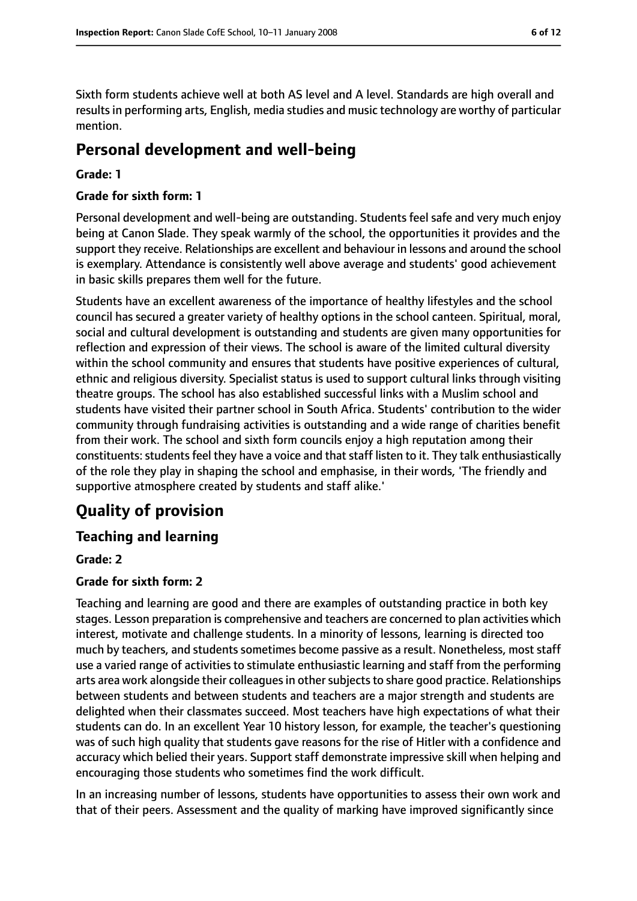Sixth form students achieve well at both AS level and A level. Standards are high overall and results in performing arts, English, media studies and music technology are worthy of particular mention.

# **Personal development and well-being**

#### **Grade: 1**

#### **Grade for sixth form: 1**

Personal development and well-being are outstanding. Students feel safe and very much enjoy being at Canon Slade. They speak warmly of the school, the opportunities it provides and the support they receive. Relationships are excellent and behaviour in lessons and around the school is exemplary. Attendance is consistently well above average and students' good achievement in basic skills prepares them well for the future.

Students have an excellent awareness of the importance of healthy lifestyles and the school council has secured a greater variety of healthy options in the school canteen. Spiritual, moral, social and cultural development is outstanding and students are given many opportunities for reflection and expression of their views. The school is aware of the limited cultural diversity within the school community and ensures that students have positive experiences of cultural, ethnic and religious diversity. Specialist status is used to support cultural links through visiting theatre groups. The school has also established successful links with a Muslim school and students have visited their partner school in South Africa. Students' contribution to the wider community through fundraising activities is outstanding and a wide range of charities benefit from their work. The school and sixth form councils enjoy a high reputation among their constituents: students feel they have a voice and that staff listen to it. They talk enthusiastically of the role they play in shaping the school and emphasise, in their words, 'The friendly and supportive atmosphere created by students and staff alike.'

# **Quality of provision**

## **Teaching and learning**

#### **Grade: 2**

#### **Grade for sixth form: 2**

Teaching and learning are good and there are examples of outstanding practice in both key stages. Lesson preparation is comprehensive and teachers are concerned to plan activities which interest, motivate and challenge students. In a minority of lessons, learning is directed too much by teachers, and students sometimes become passive as a result. Nonetheless, most staff use a varied range of activities to stimulate enthusiastic learning and staff from the performing arts area work alongside their colleagues in other subjects to share good practice. Relationships between students and between students and teachers are a major strength and students are delighted when their classmates succeed. Most teachers have high expectations of what their students can do. In an excellent Year 10 history lesson, for example, the teacher's questioning was of such high quality that students gave reasons for the rise of Hitler with a confidence and accuracy which belied their years. Support staff demonstrate impressive skill when helping and encouraging those students who sometimes find the work difficult.

In an increasing number of lessons, students have opportunities to assess their own work and that of their peers. Assessment and the quality of marking have improved significantly since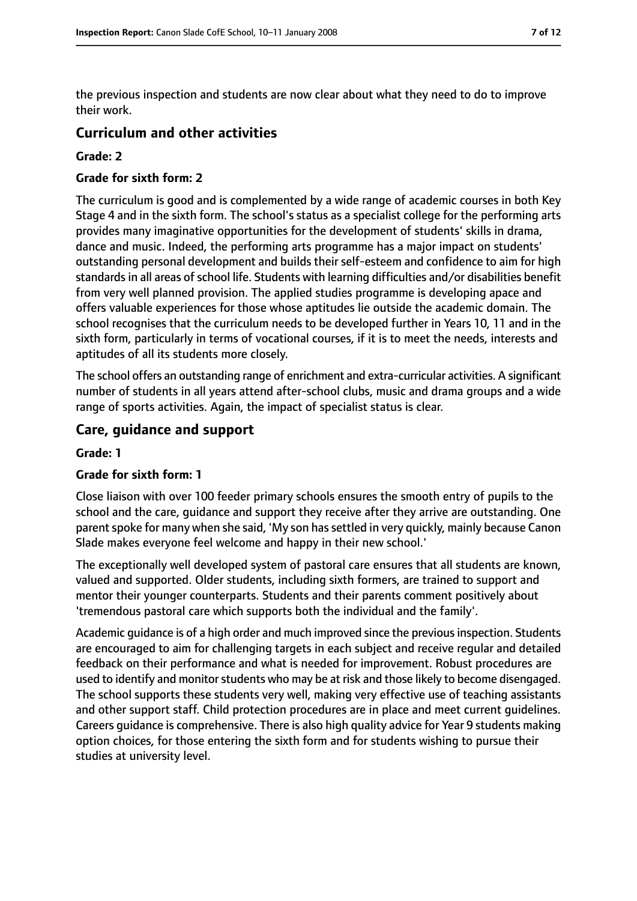the previous inspection and students are now clear about what they need to do to improve their work.

### **Curriculum and other activities**

#### **Grade: 2**

#### **Grade for sixth form: 2**

The curriculum is good and is complemented by a wide range of academic courses in both Key Stage 4 and in the sixth form. The school's status as a specialist college for the performing arts provides many imaginative opportunities for the development of students' skills in drama, dance and music. Indeed, the performing arts programme has a major impact on students' outstanding personal development and builds their self-esteem and confidence to aim for high standards in all areas of school life. Students with learning difficulties and/or disabilities benefit from very well planned provision. The applied studies programme is developing apace and offers valuable experiences for those whose aptitudes lie outside the academic domain. The school recognises that the curriculum needs to be developed further in Years 10, 11 and in the sixth form, particularly in terms of vocational courses, if it is to meet the needs, interests and aptitudes of all its students more closely.

The school offers an outstanding range of enrichment and extra-curricular activities. A significant number of students in all years attend after-school clubs, music and drama groups and a wide range of sports activities. Again, the impact of specialist status is clear.

#### **Care, guidance and support**

#### **Grade: 1**

#### **Grade for sixth form: 1**

Close liaison with over 100 feeder primary schools ensures the smooth entry of pupils to the school and the care, guidance and support they receive after they arrive are outstanding. One parent spoke for many when she said, 'My son has settled in very quickly, mainly because Canon Slade makes everyone feel welcome and happy in their new school.'

The exceptionally well developed system of pastoral care ensures that all students are known, valued and supported. Older students, including sixth formers, are trained to support and mentor their younger counterparts. Students and their parents comment positively about 'tremendous pastoral care which supports both the individual and the family'.

Academic guidance is of a high order and much improved since the previous inspection. Students are encouraged to aim for challenging targets in each subject and receive regular and detailed feedback on their performance and what is needed for improvement. Robust procedures are used to identify and monitor students who may be at risk and those likely to become disengaged. The school supports these students very well, making very effective use of teaching assistants and other support staff. Child protection procedures are in place and meet current guidelines. Careers guidance is comprehensive. There is also high quality advice for Year 9 students making option choices, for those entering the sixth form and for students wishing to pursue their studies at university level.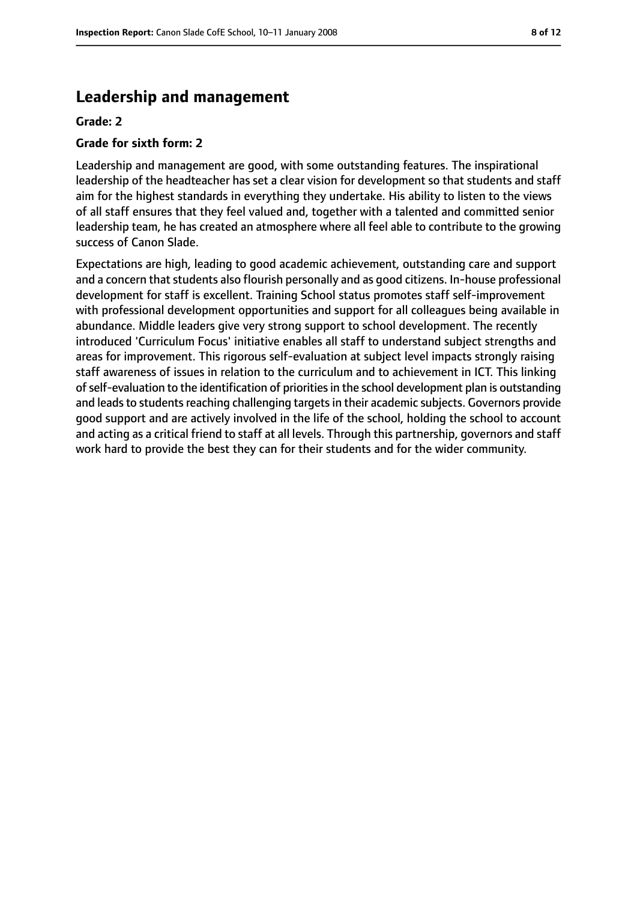# **Leadership and management**

#### **Grade: 2**

#### **Grade for sixth form: 2**

Leadership and management are good, with some outstanding features. The inspirational leadership of the headteacher has set a clear vision for development so that students and staff aim for the highest standards in everything they undertake. His ability to listen to the views of all staff ensures that they feel valued and, together with a talented and committed senior leadership team, he has created an atmosphere where all feel able to contribute to the growing success of Canon Slade.

Expectations are high, leading to good academic achievement, outstanding care and support and a concern that students also flourish personally and as good citizens. In-house professional development for staff is excellent. Training School status promotes staff self-improvement with professional development opportunities and support for all colleagues being available in abundance. Middle leaders give very strong support to school development. The recently introduced 'Curriculum Focus' initiative enables all staff to understand subject strengths and areas for improvement. This rigorous self-evaluation at subject level impacts strongly raising staff awareness of issues in relation to the curriculum and to achievement in ICT. This linking ofself-evaluation to the identification of prioritiesin the school development plan is outstanding and leads to students reaching challenging targets in their academic subjects. Governors provide good support and are actively involved in the life of the school, holding the school to account and acting as a critical friend to staff at all levels. Through this partnership, governors and staff work hard to provide the best they can for their students and for the wider community.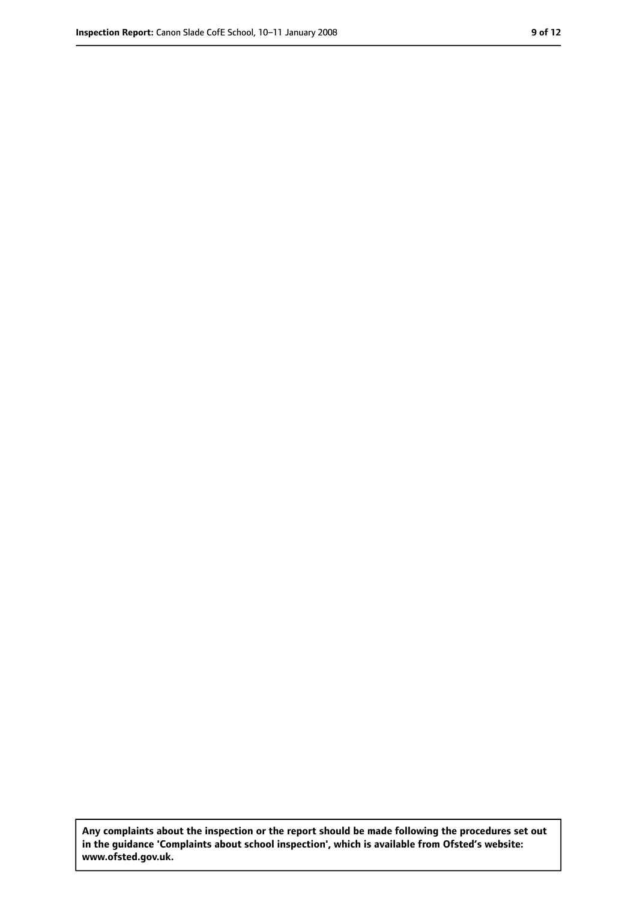**Any complaints about the inspection or the report should be made following the procedures set out in the guidance 'Complaints about school inspection', which is available from Ofsted's website: www.ofsted.gov.uk.**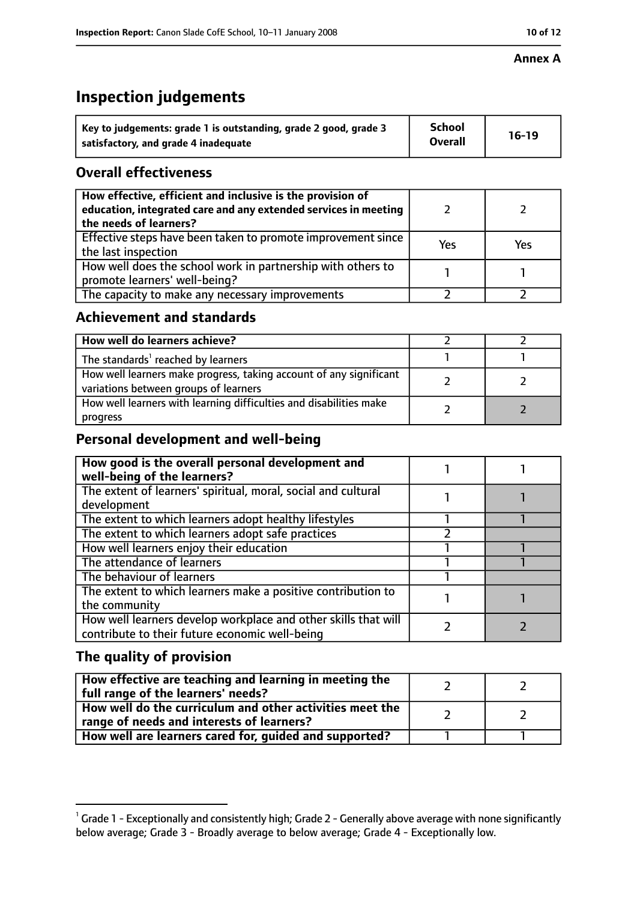#### **Annex A**

# **Inspection judgements**

| Key to judgements: grade 1 is outstanding, grade 2 good, grade 3 | <b>School</b>  | $16-19$ |
|------------------------------------------------------------------|----------------|---------|
| satisfactory, and grade 4 inadequate                             | <b>Overall</b> |         |

# **Overall effectiveness**

| How effective, efficient and inclusive is the provision of<br>education, integrated care and any extended services in meeting<br>the needs of learners? |     |     |
|---------------------------------------------------------------------------------------------------------------------------------------------------------|-----|-----|
| Effective steps have been taken to promote improvement since<br>the last inspection                                                                     | Yes | Yes |
| How well does the school work in partnership with others to<br>promote learners' well-being?                                                            |     |     |
| The capacity to make any necessary improvements                                                                                                         |     |     |

## **Achievement and standards**

| How well do learners achieve?                                                                               |  |
|-------------------------------------------------------------------------------------------------------------|--|
| The standards <sup>1</sup> reached by learners                                                              |  |
| How well learners make progress, taking account of any significant<br>variations between groups of learners |  |
| How well learners with learning difficulties and disabilities make<br>progress                              |  |

# **Personal development and well-being**

| How good is the overall personal development and<br>well-being of the learners?                                  |  |
|------------------------------------------------------------------------------------------------------------------|--|
| The extent of learners' spiritual, moral, social and cultural                                                    |  |
| development                                                                                                      |  |
| The extent to which learners adopt healthy lifestyles                                                            |  |
| The extent to which learners adopt safe practices                                                                |  |
| How well learners enjoy their education                                                                          |  |
| The attendance of learners                                                                                       |  |
| The behaviour of learners                                                                                        |  |
| The extent to which learners make a positive contribution to                                                     |  |
| the community                                                                                                    |  |
| How well learners develop workplace and other skills that will<br>contribute to their future economic well-being |  |

# **The quality of provision**

| How effective are teaching and learning in meeting the<br>full range of the learners' needs?          |  |
|-------------------------------------------------------------------------------------------------------|--|
| How well do the curriculum and other activities meet the<br>range of needs and interests of learners? |  |
| How well are learners cared for, guided and supported?                                                |  |

 $^1$  Grade 1 - Exceptionally and consistently high; Grade 2 - Generally above average with none significantly below average; Grade 3 - Broadly average to below average; Grade 4 - Exceptionally low.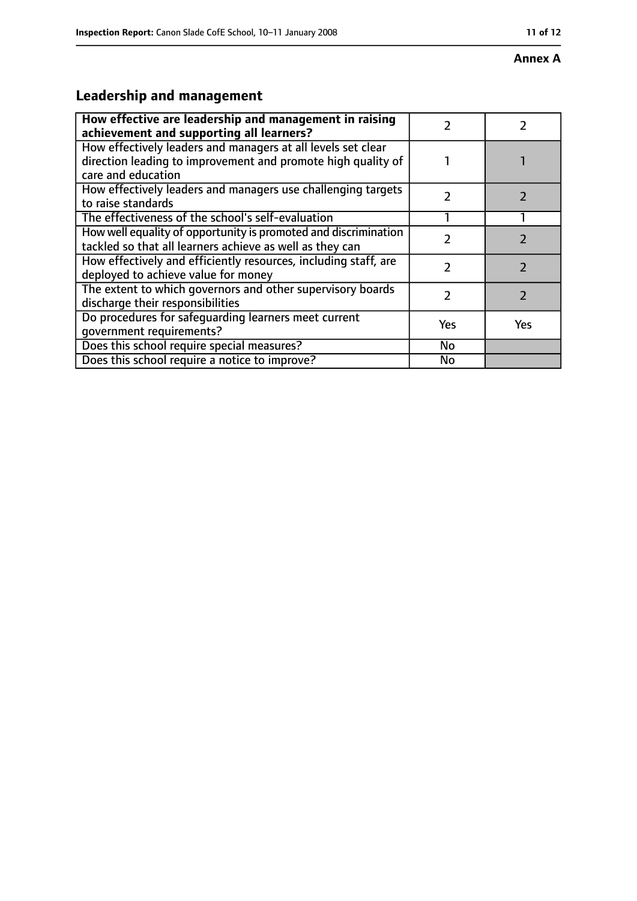#### **Annex A**

# **Leadership and management**

| How effective are leadership and management in raising<br>achievement and supporting all learners?                                                 |     |     |
|----------------------------------------------------------------------------------------------------------------------------------------------------|-----|-----|
| How effectively leaders and managers at all levels set clear<br>direction leading to improvement and promote high quality of<br>care and education |     |     |
| How effectively leaders and managers use challenging targets<br>to raise standards                                                                 | 7   |     |
| The effectiveness of the school's self-evaluation                                                                                                  |     |     |
| How well equality of opportunity is promoted and discrimination<br>tackled so that all learners achieve as well as they can                        |     |     |
| How effectively and efficiently resources, including staff, are<br>deployed to achieve value for money                                             | 7   |     |
| The extent to which governors and other supervisory boards<br>discharge their responsibilities                                                     | 7   |     |
| Do procedures for safeguarding learners meet current<br>qovernment requirements?                                                                   | Yes | Yes |
| Does this school require special measures?                                                                                                         | No  |     |
| Does this school require a notice to improve?                                                                                                      | No  |     |